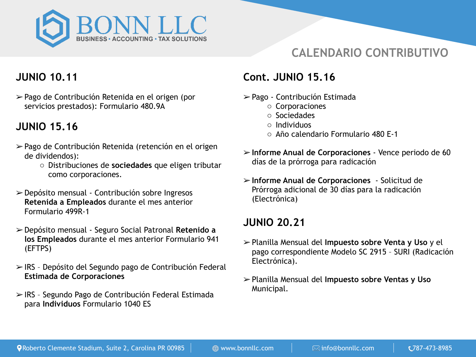

## **CALENDARIO CONTRIBUTIVO**

## **JUNIO 10.11**

➢ Pago de Contribución Retenida en el origen (por servicios prestados): Formulario 480.9A

## **JUNIO 15.16**

- ➢ Pago de Contribución Retenida (retención en el origen de dividendos):
	- o Distribuciones de **sociedades** que eligen tributar como corporaciones.
- ➢ Depósito mensual Contribución sobre Ingresos **Retenida a Empleados** durante el mes anterior Formulario 499R-1
- ➢ Depósito mensual Seguro Social Patronal **Retenido a los Empleados** durante el mes anterior Formulario 941 (EFTPS)
- ➢ IRS Depósito del Segundo pago de Contribución Federal **Estimada de Corporaciones**
- ➢ IRS Segundo Pago de Contribución Federal Estimada para **Individuos** Formulario 1040 ES

### **Cont. JUNIO 15.16**

- ➢ Pago Contribución Estimada
	- o Corporaciones
	- o Sociedades
	- o Individuos
	- o Año calendario Formulario 480 E-1
- ➢ **Informe Anual de Corporaciones** Vence periodo de 60 días de la prórroga para radicación
- ➢ **Informe Anual de Corporaciones** Solicitud de Prórroga adicional de 30 días para la radicación (Electrónica)

### **JUNIO 20.21**

- ➢ Planilla Mensual del **Impuesto sobre Venta y Uso** y el pago correspondiente Modelo SC 2915 – SURI (Radicación Electrónica).
- ➢ Planilla Mensual del **Impuesto sobre Ventas y Uso** Municipal.